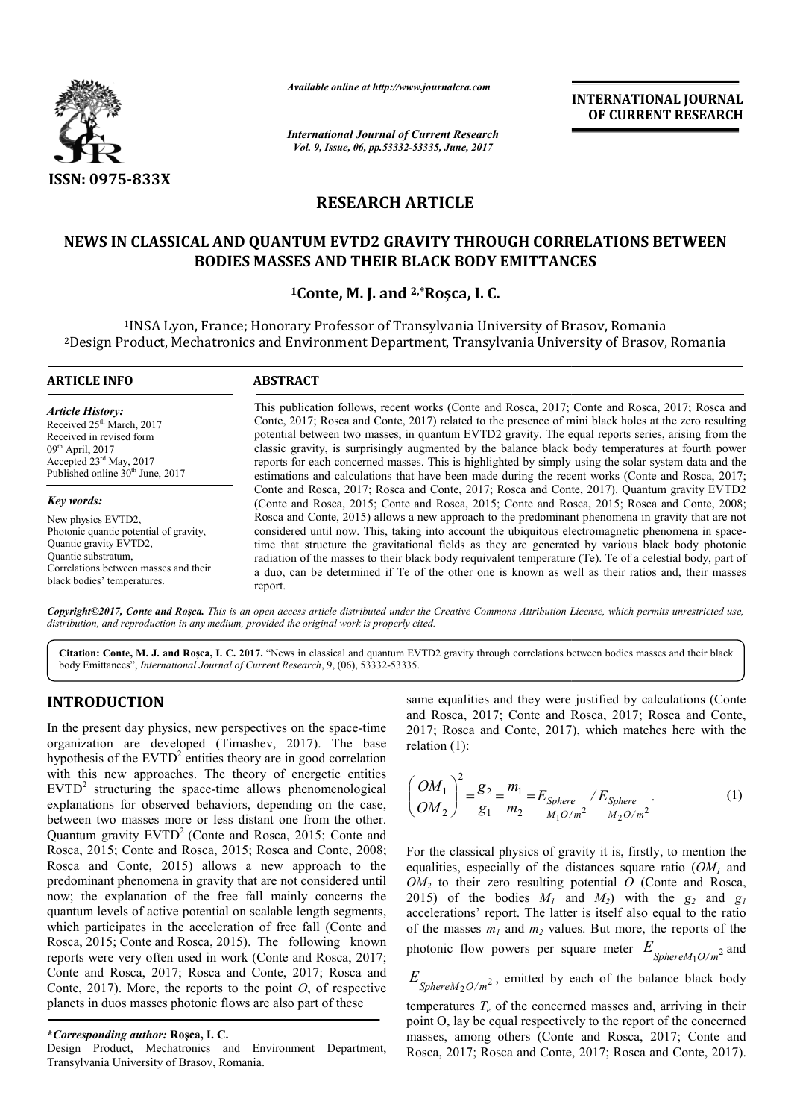

*Available online at http://www.journalcra.com*

*International Journal of Current Research Vol. 9, Issue, 06, pp.53332-53335, June, 2017*

**INTERNATIONAL JOURNAL OF CURRENT RESEARCH** 

# **RESEARCH ARTICLE**

# **NEWS IN CLASSICAL AND QUANTUM EVTD2 GRAVITY THROUGH CORRELATIONS BETWEEN NEWS IN CLASSICAL QUANTUM EVTD2 THROUGH CORRELATIONS BODIES MASSES AND THEIR BLACK BODY EMITTANCES**

# **1Conte, M. J. and 2,\*Roşca, I. C.**

1INSA Lyon, France; Honorary Professor of Transylvania University of Brasov, Romania 2Design Product, Mechatronics and Environment Department, Transylvania University of Brasov, Romania INSA Design INSA Lyon, France; Environment Department,

| <b>ARTICLE INFO</b>                    | <b>ABSTRACT</b>                                                                                                                                                                             |  |  |  |  |
|----------------------------------------|---------------------------------------------------------------------------------------------------------------------------------------------------------------------------------------------|--|--|--|--|
| <b>Article History:</b>                | This publication follows, recent works (Conte and Rosca, 2017; Conte and Rosca, 2017; Rosca and                                                                                             |  |  |  |  |
| Received 25 <sup>th</sup> March, 2017  | Conte, 2017; Rosca and Conte, 2017) related to the presence of mini black holes at the zero resulting                                                                                       |  |  |  |  |
| Received in revised form               | potential between two masses, in quantum EVTD2 gravity. The equal reports series, arising from the                                                                                          |  |  |  |  |
| $09th$ April, 2017                     | classic gravity, is surprisingly augmented by the balance black body temperatures at fourth power                                                                                           |  |  |  |  |
| Accepted $23^{\text{rd}}$ May, 2017    | reports for each concerned masses. This is highlighted by simply using the solar system data and the                                                                                        |  |  |  |  |
| Published online $30th$ June, 2017     | estimations and calculations that have been made during the recent works (Conte and Rosca, 2017;                                                                                            |  |  |  |  |
| Key words:                             | Conte and Rosca, 2017; Rosca and Conte, 2017; Rosca and Conte, 2017). Quantum gravity EVTD2<br>(Conte and Rosca, 2015; Conte and Rosca, 2015; Conte and Rosca, 2015; Rosca and Conte, 2008; |  |  |  |  |
| New physics EVTD2.                     | Rosca and Conte, 2015) allows a new approach to the predominant phenomena in gravity that are not                                                                                           |  |  |  |  |
| Photonic quantic potential of gravity, | considered until now. This, taking into account the ubiquitous electromagnetic phenomena in space-                                                                                          |  |  |  |  |
| Quantic gravity EVTD2.                 | time that structure the gravitational fields as they are generated by various black body photonic                                                                                           |  |  |  |  |
| Quantic substratum.                    | radiation of the masses to their black body requivalent temperature (Te). Te of a celestial body, part of                                                                                   |  |  |  |  |
| Correlations between masses and their  | a duo, can be determined if Te of the other one is known as well as their ratios and, their masses                                                                                          |  |  |  |  |

Copyright©2017, Conte and Roşca. This is an open access article distributed under the Creative Commons Attribution License, which permits unrestricted use, *distribution, and reproduction in any medium, provided the original work is properly cited.*

Citation: Conte, M. J. and Roșca, I. C. 2017. "News in classical and quantum EVTD2 gravity through correlations between bodies masses and their black body Emittances", *International Journal of Current Research* , 9, (06), 53332-53335.

# **INTRODUCTION**

black bodies' temperatures.

In the present day physics, new perspectives on the space-time organization are developed (Timashev, 2017 , 2017). The base hypothesis of the EVTD<sup>2</sup> entities theory are in good correlation with this new approaches. The theory of energetic entities  $EVTD<sup>2</sup>$  structuring the space-time allows phenomenological explanations for observed behaviors, depending on the case, between two masses more or less distant one from the other.  $EVTD<sup>2</sup>$  structuring the space-time allows phenomenological explanations for observed behaviors, depending on the case, between two masses more or less distant one from the other. Quantum gravity  $EVTD<sup>2</sup>$  (Conte a Rosca, 2015; Conte and Rosca, 2015; Rosca and Conte, 2008; Rosca and Conte, 2015) allows a new approach to the predominant phenomena in gravity that are not considered until now; the explanation of the free fall mainly concerns the quantum levels of active potential on scalable length segments, which participates in the acceleration of free fall (Conte and Rosca, 2015; Conte and Rosca, 2015). The following known reports were very often used in work (Conte Conte and Rosca, 2017; Conte and Rosca, 2017; Rosca and Conte, 2017; Rosca and Conte, 2017). More, the reports to the point *O*, of respective planets in duos masses photonic flows are also part of these

report.

### **\****Corresponding author:* **Roşca, I. C.**

Design Product, Mechatronics and Environment Department, Transylvania University of Brasov, Romania.

same equalities and they were justified by calculations (Conte and Rosca, 2017; Conte and Rosca Rosca, 2017; Rosca and Conte, 2017; Rosca and Conte, 2017 , 2017), which matches here with the relation (1):

$$
\left(\frac{OM_1}{OM_2}\right)^2 = \frac{g_2}{g_1} = \frac{m_1}{m_2} = E_{Sphere} / E_{Sphere}
$$
  
<sub>M10/m<sup>2</sup></sub>  $M_{20/m2}$  (1)

For the classical physics of gravity it is, firstly, to mention the For the classical physics of gravity it is, firstly, to mention the equalities, especially of the distances square ratio  $(OM<sub>1</sub>$  and  $OM<sub>2</sub>$  to their zero resulting potential  $O$  (Conte and Rosca, 2015) of the bodies  $M_1$  and  $M_2$ ) with the  $g_2$  and  $g_1$ accelerations' report. The latter is itself also equal to the ratio of the masses  $m_1$  and  $m_2$  values. But more, the reports of the accelerations' report. The latter is itself also equal to the ratio of the masses  $m_l$  and  $m_2$  values. But more, the reports of the photonic flow powers per square meter  $E_{Spheren M_1O/m^2}$  and

 $E_{Spheren M_2O/m^2}$ , emitted by each of the balance black body eemperatures  $T_e$  of the concerned masses and, arriving in their point O, lay be equal respectively to the report of the concerned masses, among others (Conte and temperatures  $T_e$  of the concerned masses and, arriving in their point O, lay be equal respectively to the report of the concerned masses, among others (Conte and Rosca, 2017; Conte and Rosca, 2017; Rosca and Conte, 2017; Rosca and Conte, 2017).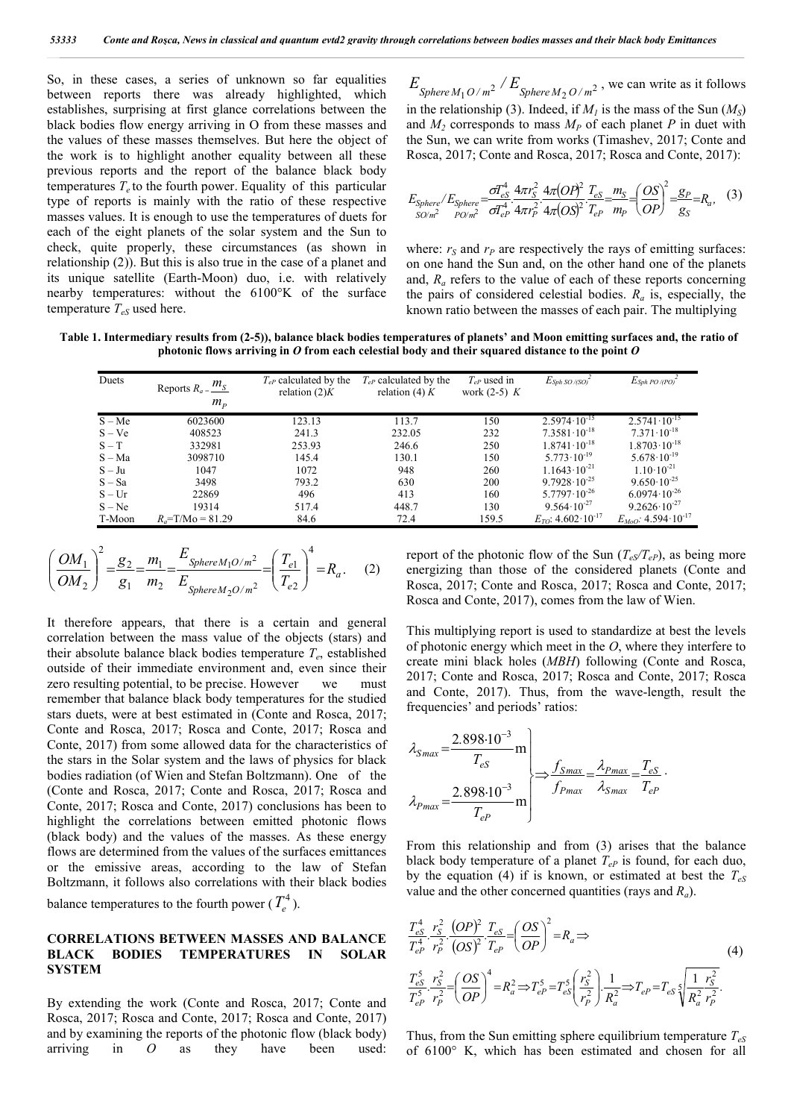So, in these cases, a series of unknown so far equalities between reports there was already highlighted, which establishes, surprising at first glance correlations between the black bodies flow energy arriving in O from these masses and the values of these masses themselves. But here the object of the work is to highlight another equality between all these previous reports and the report of the balance black body temperatures  $T_e$  to the fourth power. Equality of this particular type of reports is mainly with the ratio of these respective masses values. It is enough to use the temperatures of duets for each of the eight planets of the solar system and the Sun to check, quite properly, these circumstances (as shown in relationship (2)). But this is also true in the case of a planet and its unique satellite (Earth-Moon) duo, i.e. with relatively nearby temperatures: without the 6100°K of the surface temperature  $T_{eS}$  used here.

 $E_{\text{Sphere } M_1 O / m^2} / E_{\text{Sphere } M_2 O / m^2}$ , we can write as it follows in the relationship (3). Indeed, if  $M<sub>1</sub>$  is the mass of the Sun  $(M<sub>S</sub>)$ and  $M_2$  corresponds to mass  $M_p$  of each planet P in duet with the Sun, we can write from works (Timashev, 2017; Conte and Rosca, 2017; Conte and Rosca, 2017; Rosca and Conte, 2017):

$$
E_{Sphere}/E_{Sphere} = \frac{\sigma T_{eS}^4}{\sigma T_{eP}^4} \frac{4\pi r_S^2}{4\pi r_P^2} \frac{4\pi (OP)^2}{4\pi r_P^2} \frac{T_{eS}}{T_{eP}} = \frac{m_S}{m_P} = \left(\frac{OS}{OP}\right)^2 = \frac{g_P}{g_S} = R_a, \quad (3)
$$

where:  $r<sub>S</sub>$  and  $r<sub>P</sub>$  are respectively the rays of emitting surfaces: on one hand the Sun and, on the other hand one of the planets and, *Ra* refers to the value of each of these reports concerning the pairs of considered celestial bodies.  $R_a$  is, especially, the known ratio between the masses of each pair. The multiplying

**Table 1. Intermediary results from (2-5)), balance black bodies temperatures of planets' and Moon emitting surfaces and, the ratio of photonic flows arriving in** *O* **from each celestial body and their squared distance to the point** *O*

| Duets<br>$T_{eP}$ calculated by the<br>$T_{eP}$ calculated by the<br>$E_{Sph}$ PO /(PO) <sup>2</sup><br>$T_{eP}$ used in<br>$E_{Sph}$ so /(so) $^{\circ}$<br>Reports $R_a = \frac{m_S}{m}$<br>relation $(2)K$<br>relation (4) $K$<br>work $(2-5)$ K<br>$m_{\scriptscriptstyle p}$<br>$2.5741 \cdot 10^{-15}$<br>$2.5974 \cdot 10^{-15}$<br>150<br>S – Me<br>6023600<br>123.13<br>113.7<br>$7.3581 \cdot 10^{-18}$<br>$7.371 \cdot 10^{-18}$<br>$S - Ve$<br>232.05<br>232<br>408523<br>241.3<br>$1.8703 \cdot 10^{-18}$<br>$1.8741 \cdot 10^{-18}$<br>$S-T$<br>332981<br>246.6<br>250<br>253.93<br>$5.773 \cdot 10^{-19}$<br>$5.678 \cdot 10^{-19}$<br>130.1<br>S – Ma<br>3098710<br>145.4<br>150<br>$1.1643 \cdot 10^{-21}$<br>$1.10 \cdot 10^{-21}$<br>$S - Ju$<br>1047<br>1072<br>948<br>260<br>$9.7928 \cdot 10^{-25}$<br>$9.650 \cdot 10^{-25}$<br>3498<br>S – Sa<br>793.2<br>630<br>200<br>$6.0974 \cdot 10^{-26}$<br>$5.7797 \cdot 10^{-26}$<br>$S-Ur$<br>22869<br>496<br>413<br>160<br>$9.564 \cdot 10^{-27}$<br>$9.2626 \cdot 10^{-27}$<br>$S - Ne$<br>448.7<br>130<br>19314<br>517.4<br>$E_{TO}$ : 4.602 $\cdot 10^{-17}$<br>159.5<br>T-Moon<br>72.4<br>$R_a = T/Mo = 81.29$<br>84.6 |  |  |  |                                     |
|-----------------------------------------------------------------------------------------------------------------------------------------------------------------------------------------------------------------------------------------------------------------------------------------------------------------------------------------------------------------------------------------------------------------------------------------------------------------------------------------------------------------------------------------------------------------------------------------------------------------------------------------------------------------------------------------------------------------------------------------------------------------------------------------------------------------------------------------------------------------------------------------------------------------------------------------------------------------------------------------------------------------------------------------------------------------------------------------------------------------------------------------------------------------------------------------------|--|--|--|-------------------------------------|
|                                                                                                                                                                                                                                                                                                                                                                                                                                                                                                                                                                                                                                                                                                                                                                                                                                                                                                                                                                                                                                                                                                                                                                                               |  |  |  |                                     |
|                                                                                                                                                                                                                                                                                                                                                                                                                                                                                                                                                                                                                                                                                                                                                                                                                                                                                                                                                                                                                                                                                                                                                                                               |  |  |  |                                     |
|                                                                                                                                                                                                                                                                                                                                                                                                                                                                                                                                                                                                                                                                                                                                                                                                                                                                                                                                                                                                                                                                                                                                                                                               |  |  |  |                                     |
|                                                                                                                                                                                                                                                                                                                                                                                                                                                                                                                                                                                                                                                                                                                                                                                                                                                                                                                                                                                                                                                                                                                                                                                               |  |  |  |                                     |
|                                                                                                                                                                                                                                                                                                                                                                                                                                                                                                                                                                                                                                                                                                                                                                                                                                                                                                                                                                                                                                                                                                                                                                                               |  |  |  |                                     |
|                                                                                                                                                                                                                                                                                                                                                                                                                                                                                                                                                                                                                                                                                                                                                                                                                                                                                                                                                                                                                                                                                                                                                                                               |  |  |  |                                     |
|                                                                                                                                                                                                                                                                                                                                                                                                                                                                                                                                                                                                                                                                                                                                                                                                                                                                                                                                                                                                                                                                                                                                                                                               |  |  |  |                                     |
|                                                                                                                                                                                                                                                                                                                                                                                                                                                                                                                                                                                                                                                                                                                                                                                                                                                                                                                                                                                                                                                                                                                                                                                               |  |  |  |                                     |
|                                                                                                                                                                                                                                                                                                                                                                                                                                                                                                                                                                                                                                                                                                                                                                                                                                                                                                                                                                                                                                                                                                                                                                                               |  |  |  |                                     |
|                                                                                                                                                                                                                                                                                                                                                                                                                                                                                                                                                                                                                                                                                                                                                                                                                                                                                                                                                                                                                                                                                                                                                                                               |  |  |  | $E_{Moo}$ : 4.594·10 <sup>-17</sup> |

$$
\left(\frac{OM_1}{OM_2}\right)^2 = \frac{g_2}{g_1} = \frac{m_1}{m_2} = \frac{E_{Sphere M_1 O/m^2}}{E_{Sphere M_2 O/m^2}} = \left(\frac{T_{e1}}{T_{e2}}\right)^4 = R_a.
$$
 (2)

It therefore appears, that there is a certain and general correlation between the mass value of the objects (stars) and their absolute balance black bodies temperature  $T_e$ , established outside of their immediate environment and, even since their zero resulting potential, to be precise. However we must remember that balance black body temperatures for the studied stars duets, were at best estimated in (Conte and Rosca, 2017; Conte and Rosca, 2017; Rosca and Conte, 2017; Rosca and Conte, 2017) from some allowed data for the characteristics of the stars in the Solar system and the laws of physics for black bodies radiation (of Wien and Stefan Boltzmann). One of the (Conte and Rosca, 2017; Conte and Rosca, 2017; Rosca and Conte, 2017; Rosca and Conte, 2017) conclusions has been to highlight the correlations between emitted photonic flows (black body) and the values of the masses. As these energy flows are determined from the values of the surfaces emittances or the emissive areas, according to the law of Stefan Boltzmann, it follows also correlations with their black bodies balance temperatures to the fourth power  $(T_e^4)$ .

### **CORRELATIONS BETWEEN MASSES AND BALANCE BLACK BODIES TEMPERATURES IN SOLAR SYSTEM**

By extending the work (Conte and Rosca, 2017; Conte and Rosca, 2017; Rosca and Conte, 2017; Rosca and Conte, 2017) and by examining the reports of the photonic flow (black body) arriving in *O* as they have been used: report of the photonic flow of the Sun  $(T_{eS}/T_{eP})$ , as being more energizing than those of the considered planets (Conte and Rosca, 2017; Conte and Rosca, 2017; Rosca and Conte, 2017; Rosca and Conte, 2017), comes from the law of Wien.

This multiplying report is used to standardize at best the levels of photonic energy which meet in the *O*, where they interfere to create mini black holes (*MBH*) following (Conte and Rosca, 2017; Conte and Rosca, 2017; Rosca and Conte, 2017; Rosca and Conte, 2017). Thus, from the wave-length, result the frequencies' and periods' ratios:

$$
\lambda_{Smax} = \frac{2.898 \cdot 10^{-3}}{T_{eS}} \text{ m}
$$
\n
$$
\lambda_{Pmax} = \frac{2.898 \cdot 10^{-3}}{T_{eP}} \text{ m}
$$
\n
$$
\Rightarrow \frac{f_{Smax}}{f_{Pmax}} = \frac{\lambda_{Pmax}}{\lambda_{Smax}} = \frac{T_{eS}}{T_{eP}}.
$$

From this relationship and from (3) arises that the balance black body temperature of a planet  $T_{eP}$  is found, for each duo, by the equation (4) if is known, or estimated at best the  $T_{eS}$ value and the other concerned quantities (rays and *Ra*).

$$
\frac{T_{eS}^4}{T_{eP}^4} \cdot \frac{r_S^2}{r_P^2} \cdot \frac{(OP)^2}{(OS)^2} \cdot \frac{T_{eS}}{T_{eP}} = \left(\frac{OS}{OP}\right)^2 = R_a \Rightarrow
$$
\n
$$
\frac{T_{eS}^5}{T_{eP}^5} \cdot \frac{r_S^2}{r_P^2} = \left(\frac{OS}{OP}\right)^4 = R_a^2 \Rightarrow T_{eP}^5 = T_{eS}^5 \left(\frac{r_S^2}{r_P^2}\right) \cdot \frac{1}{R_a^2} \Rightarrow T_{eP} = T_{eS} \left\{\frac{1}{R_a^2} \frac{r_S^2}{r_P^2} \right\}.
$$
\n(4)

Thus, from the Sun emitting sphere equilibrium temperature *TeS* of 6100° K, which has been estimated and chosen for all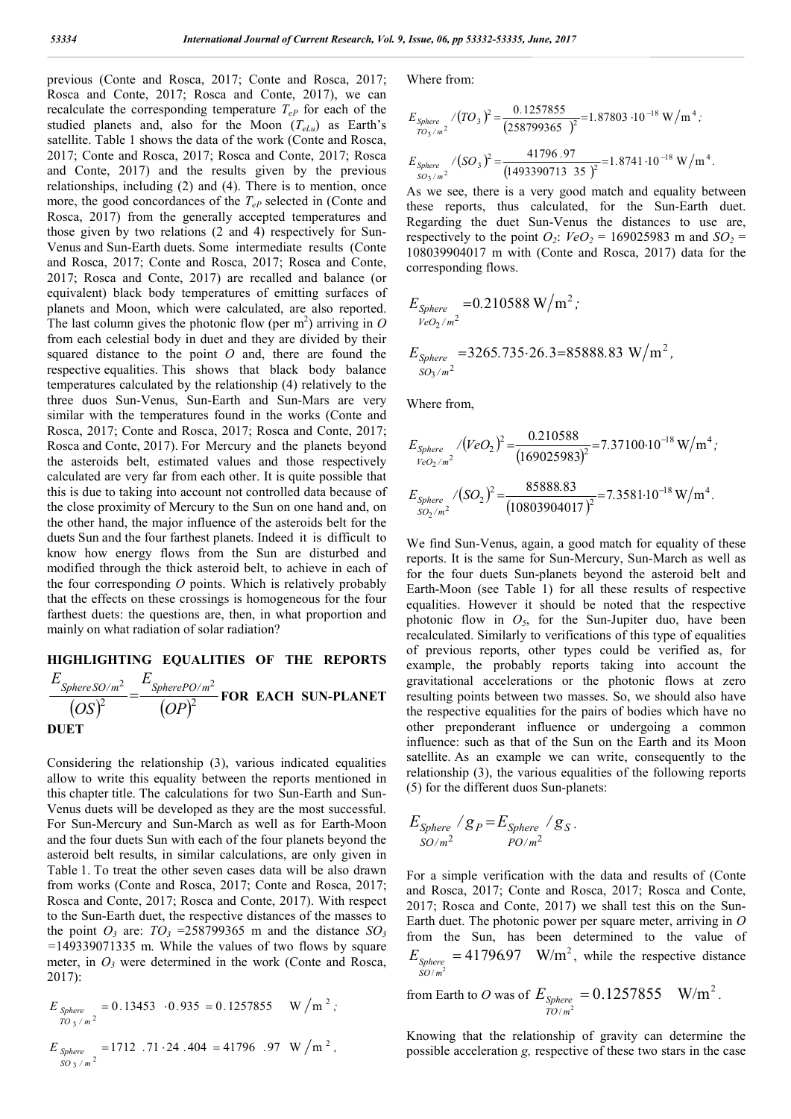previous (Conte and Rosca, 2017; Conte and Rosca, 2017; Rosca and Conte, 2017; Rosca and Conte, 2017), we can recalculate the corresponding temperature  $T_{eP}$  for each of the studied planets and, also for the Moon  $(T_{elu})$  as Earth's satellite. Table 1 shows the data of the work (Conte and Rosca, 2017; Conte and Rosca, 2017; Rosca and Conte, 2017; Rosca and Conte, 2017) and the results given by the previous relationships, including (2) and (4). There is to mention, once more, the good concordances of the  $T_{eP}$  selected in (Conte and Rosca, 2017) from the generally accepted temperatures and those given by two relations (2 and 4) respectively for Sun-Venus and Sun-Earth duets. Some intermediate results (Conte and Rosca, 2017; Conte and Rosca, 2017; Rosca and Conte, 2017; Rosca and Conte, 2017) are recalled and balance (or equivalent) black body temperatures of emitting surfaces of planets and Moon, which were calculated, are also reported. The last column gives the photonic flow (per  $m^2$ ) arriving in  $O$ from each celestial body in duet and they are divided by their squared distance to the point *O* and, there are found the respective equalities. This shows that black body balance temperatures calculated by the relationship (4) relatively to the three duos Sun-Venus, Sun-Earth and Sun-Mars are very similar with the temperatures found in the works (Conte and Rosca, 2017; Conte and Rosca, 2017; Rosca and Conte, 2017; Rosca and Conte, 2017). For Mercury and the planets beyond the asteroids belt, estimated values and those respectively calculated are very far from each other. It is quite possible that this is due to taking into account not controlled data because of the close proximity of Mercury to the Sun on one hand and, on the other hand, the major influence of the asteroids belt for the duets Sun and the four farthest planets. Indeed it is difficult to know how energy flows from the Sun are disturbed and modified through the thick asteroid belt, to achieve in each of the four corresponding *O* points. Which is relatively probably that the effects on these crossings is homogeneous for the four farthest duets: the questions are, then, in what proportion and mainly on what radiation of solar radiation?

#### **HIGHLIGHTING EQUALITIES OF THE REPORTS**   $(OS)^2$   $(OP)^2$ 2  $E_{\text{Show}2D/m^2}$ *OP E OS E*  $\frac{SphereSO/m^2}{(soS)^2} = \frac{SpherePO/m^2}{(soS)^2}$  **FOR EACH SUN-PLANET DUET**

Considering the relationship (3), various indicated equalities allow to write this equality between the reports mentioned in this chapter title. The calculations for two Sun-Earth and Sun-Venus duets will be developed as they are the most successful. For Sun-Mercury and Sun-March as well as for Earth-Moon and the four duets Sun with each of the four planets beyond the asteroid belt results, in similar calculations, are only given in Table 1. To treat the other seven cases data will be also drawn from works (Conte and Rosca, 2017; Conte and Rosca, 2017; Rosca and Conte, 2017; Rosca and Conte, 2017). With respect to the Sun-Earth duet, the respective distances of the masses to the point  $O_3$  are:  $TO_3$  =258799365 m and the distance  $SO_3$ *=*149339071335 m. While the values of two flows by square meter, in  $O_3$  were determined in the work (Conte and Rosca, 2017):

$$
E_{Sphere \atop TO_3/m^2} = 0.13453 \cdot 0.935 = 0.1257855 \quad W/m^2;
$$

$$
E_{Sphere \tS0_3/m^2} = 1712.71.24.404 = 41796.97 W/m^2,
$$

Where from:

$$
E_{Sphere}/(TO_{3})^{2} = \frac{0.1257855}{(258799365)^{2}} = 1.87803 \cdot 10^{-18} \text{ W/m}^{4};
$$
  

$$
E_{Sphere}/(SO_{3})^{2} = \frac{41796.97}{(1493390713 \cdot 35)^{2}} = 1.8741 \cdot 10^{-18} \text{ W/m}^{4}.
$$

As we see, there is a very good match and equality between these reports, thus calculated, for the Sun-Earth duet. Regarding the duet Sun-Venus the distances to use are, respectively to the point  $O_2$ :  $VeO_2 = 169025983$  m and  $SO_2 =$ 108039904017 m with (Conte and Rosca, 2017) data for the corresponding flows.

$$
E_{Sphere} = 0.210588 \text{ W/m}^2;
$$
  
\n
$$
E_{Sphere} = 3265.735.26.3 = 85888.83 \text{ W/m}^2,
$$
  
\n
$$
S_{O_3/m} = 3265.735.26.3 = 85888.83 \text{ W/m}^2,
$$

Where from,

$$
E_{Sphere}_{VeO_2/m^2} / (VeO_2)^2 = \frac{0.210588}{(169025983)^2} = 7.37100 \cdot 10^{-18} \text{ W/m}^4;
$$
  

$$
E_{Sphere}_{SO_2/m^2} / (SO_2)^2 = \frac{85888.83}{(10803904017)^2} = 7.3581 \cdot 10^{-18} \text{ W/m}^4.
$$

We find Sun-Venus, again, a good match for equality of these reports. It is the same for Sun-Mercury, Sun-March as well as for the four duets Sun-planets beyond the asteroid belt and Earth-Moon (see Table 1) for all these results of respective equalities. However it should be noted that the respective photonic flow in  $O<sub>5</sub>$ , for the Sun-Jupiter duo, have been recalculated. Similarly to verifications of this type of equalities of previous reports, other types could be verified as, for example, the probably reports taking into account the gravitational accelerations or the photonic flows at zero resulting points between two masses. So, we should also have the respective equalities for the pairs of bodies which have no other preponderant influence or undergoing a common influence: such as that of the Sun on the Earth and its Moon satellite. As an example we can write, consequently to the relationship (3), the various equalities of the following reports (5) for the different duos Sun-planets:

$$
E_{Sphere} / g_P = E_{Sphere} / g_S .
$$
  
<sub>SO/m<sup>2</sup></sub> <sub>PO/m<sup>2</sup></sub>

For a simple verification with the data and results of (Conte and Rosca, 2017; Conte and Rosca, 2017; Rosca and Conte, 2017; Rosca and Conte, 2017) we shall test this on the Sun-Earth duet. The photonic power per square meter, arriving in *O* from the Sun, has been determined to the value of  $E_{\text{sphere}} = 41796.97 \text{ W/m}^2$ , while the respective distance / 2 *SO m*

from Earth to *O* was of  $E_{Sphere} = 0.1257855$  W/m<sup>2</sup>. / *TO m*

Knowing that the relationship of gravity can determine the possible acceleration *g,* respective of these two stars in the case